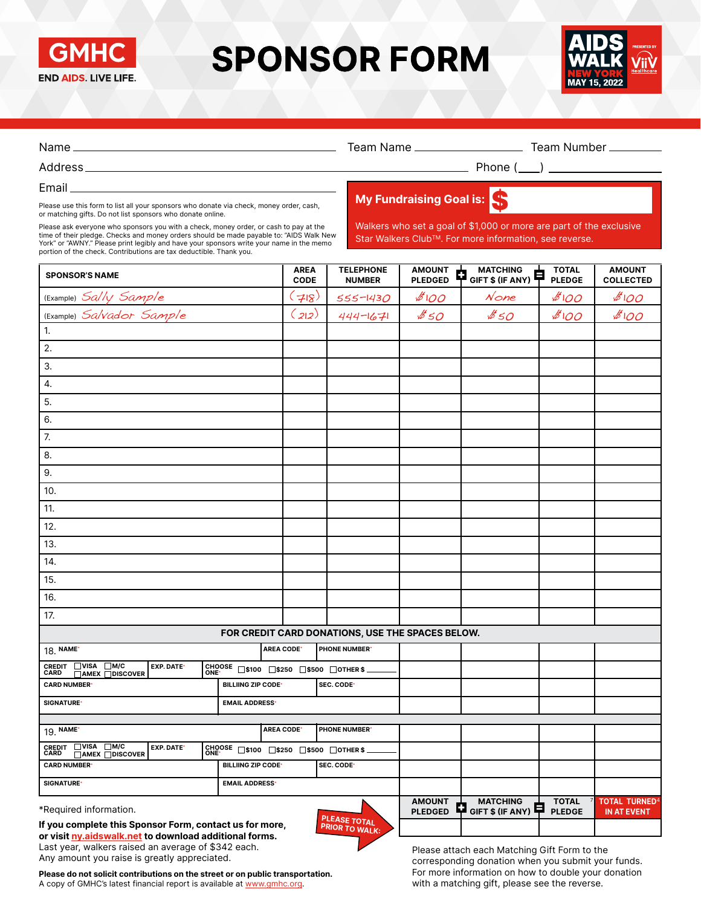

# **SPONSOR FORM**



| Email and the contract of the contract of the contract of the contract of the contract of the contract of the                                                                                                                                                                                                                                                                                                    |                                                  |                     |                                       |                                 |                                                                                                                               |                               |                                         |  |  |
|------------------------------------------------------------------------------------------------------------------------------------------------------------------------------------------------------------------------------------------------------------------------------------------------------------------------------------------------------------------------------------------------------------------|--------------------------------------------------|---------------------|---------------------------------------|---------------------------------|-------------------------------------------------------------------------------------------------------------------------------|-------------------------------|-----------------------------------------|--|--|
| Please use this form to list all your sponsors who donate via check, money order, cash,                                                                                                                                                                                                                                                                                                                          |                                                  |                     | My Fundraising Goal is:               |                                 |                                                                                                                               |                               |                                         |  |  |
| or matching gifts. Do not list sponsors who donate online.<br>Please ask everyone who sponsors you with a check, money order, or cash to pay at the<br>time of their pledge. Checks and money orders should be made payable to: "AIDS Walk New<br>York" or "AWNY." Please print legibly and have your sponsors write your name in the memo<br>portion of the check. Contributions are tax deductible. Thank you. |                                                  |                     |                                       |                                 | Walkers who set a goal of \$1,000 or more are part of the exclusive<br>Star Walkers Club™. For more information, see reverse. |                               |                                         |  |  |
| <b>SPONSOR'S NAME</b>                                                                                                                                                                                                                                                                                                                                                                                            |                                                  | AREA<br><b>CODE</b> | <b>TELEPHONE</b><br><b>NUMBER</b>     | <b>AMOUNT</b><br><b>PLEDGED</b> | <b>MATCHING</b><br>₿<br>GIFT \$ (IF ANY)                                                                                      | <b>TOTAL</b><br><b>PLEDGE</b> | <b>AMOUNT</b><br><b>COLLECTED</b>       |  |  |
| (Example) Sally Sample                                                                                                                                                                                                                                                                                                                                                                                           |                                                  | 718                 | $555 - 1430$                          | 800                             | $N$ one                                                                                                                       | 100                           | 100                                     |  |  |
| (Example) Salvador Sample                                                                                                                                                                                                                                                                                                                                                                                        |                                                  | $(z_1z)$            | $444 - 1671$                          | \$50                            | \$50                                                                                                                          | 800                           | \$100                                   |  |  |
| 1.                                                                                                                                                                                                                                                                                                                                                                                                               |                                                  |                     |                                       |                                 |                                                                                                                               |                               |                                         |  |  |
| 2.                                                                                                                                                                                                                                                                                                                                                                                                               |                                                  |                     |                                       |                                 |                                                                                                                               |                               |                                         |  |  |
| 3.                                                                                                                                                                                                                                                                                                                                                                                                               |                                                  |                     |                                       |                                 |                                                                                                                               |                               |                                         |  |  |
| 4.                                                                                                                                                                                                                                                                                                                                                                                                               |                                                  |                     |                                       |                                 |                                                                                                                               |                               |                                         |  |  |
| 5.                                                                                                                                                                                                                                                                                                                                                                                                               |                                                  |                     |                                       |                                 |                                                                                                                               |                               |                                         |  |  |
| 6.                                                                                                                                                                                                                                                                                                                                                                                                               |                                                  |                     |                                       |                                 |                                                                                                                               |                               |                                         |  |  |
| 7.                                                                                                                                                                                                                                                                                                                                                                                                               |                                                  |                     |                                       |                                 |                                                                                                                               |                               |                                         |  |  |
| 8.                                                                                                                                                                                                                                                                                                                                                                                                               |                                                  |                     |                                       |                                 |                                                                                                                               |                               |                                         |  |  |
| 9.                                                                                                                                                                                                                                                                                                                                                                                                               |                                                  |                     |                                       |                                 |                                                                                                                               |                               |                                         |  |  |
| 10.                                                                                                                                                                                                                                                                                                                                                                                                              |                                                  |                     |                                       |                                 |                                                                                                                               |                               |                                         |  |  |
| 11.                                                                                                                                                                                                                                                                                                                                                                                                              |                                                  |                     |                                       |                                 |                                                                                                                               |                               |                                         |  |  |
| 12.                                                                                                                                                                                                                                                                                                                                                                                                              |                                                  |                     |                                       |                                 |                                                                                                                               |                               |                                         |  |  |
| 13.                                                                                                                                                                                                                                                                                                                                                                                                              |                                                  |                     |                                       |                                 |                                                                                                                               |                               |                                         |  |  |
| 14.                                                                                                                                                                                                                                                                                                                                                                                                              |                                                  |                     |                                       |                                 |                                                                                                                               |                               |                                         |  |  |
| 15.                                                                                                                                                                                                                                                                                                                                                                                                              |                                                  |                     |                                       |                                 |                                                                                                                               |                               |                                         |  |  |
| 16.                                                                                                                                                                                                                                                                                                                                                                                                              |                                                  |                     |                                       |                                 |                                                                                                                               |                               |                                         |  |  |
| 17.                                                                                                                                                                                                                                                                                                                                                                                                              |                                                  |                     |                                       |                                 |                                                                                                                               |                               |                                         |  |  |
|                                                                                                                                                                                                                                                                                                                                                                                                                  | FOR CREDIT CARD DONATIONS, USE THE SPACES BELOW. |                     |                                       |                                 |                                                                                                                               |                               |                                         |  |  |
| 18. NAME*                                                                                                                                                                                                                                                                                                                                                                                                        | AREA CODE*                                       |                     | PHONE NUMBER'                         |                                 |                                                                                                                               |                               |                                         |  |  |
| $\square$ VISA<br>$\Box$ M/C<br><b>CREDIT<br/>CARD</b><br>EXP. DATE*<br>□AMEX □DISCOVER                                                                                                                                                                                                                                                                                                                          | CHOOSE □\$100 □\$250 □\$500 □OTHER \$            |                     |                                       |                                 |                                                                                                                               |                               |                                         |  |  |
| <b>CARD NUMBER*</b>                                                                                                                                                                                                                                                                                                                                                                                              | <b>BILLIING ZIP CODE*</b>                        | SEC. CODE*          |                                       |                                 |                                                                                                                               |                               |                                         |  |  |
| SIGNATURE <sup>®</sup>                                                                                                                                                                                                                                                                                                                                                                                           | <b>EMAIL ADDRESS'</b>                            |                     |                                       |                                 |                                                                                                                               |                               |                                         |  |  |
| 19. NAME                                                                                                                                                                                                                                                                                                                                                                                                         | <b>AREA CODE*</b>                                |                     | <b>PHONE NUMBER*</b>                  |                                 |                                                                                                                               |                               |                                         |  |  |
| $\n  IVISA\n$<br>$\Box$ M/C<br><b>CREDIT<br/>CARD</b><br>EXP. DATE*<br>□AMEX □DISCOVER<br>ONE <sup>.</sup>                                                                                                                                                                                                                                                                                                       | CHOOSE □\$100 □\$250 □\$500 □OTHER\$ _           |                     |                                       |                                 |                                                                                                                               |                               |                                         |  |  |
| <b>CARD NUMBER*</b>                                                                                                                                                                                                                                                                                                                                                                                              | SEC. CODE*<br><b>BILLIING ZIP CODE*</b>          |                     |                                       |                                 |                                                                                                                               |                               |                                         |  |  |
| SIGNATURE <sup>®</sup>                                                                                                                                                                                                                                                                                                                                                                                           | <b>EMAIL ADDRESS*</b>                            |                     |                                       |                                 |                                                                                                                               |                               |                                         |  |  |
| *Required information.<br>If you complete this Sponsor Form, contact us for more,<br>or visit ny.aidswalk.net to download additional forms.                                                                                                                                                                                                                                                                      |                                                  |                     | PLEASE TOTAL<br><b>PRIOR TO WALK:</b> | <b>AMOUNT</b><br><b>PLEDGED</b> | <b>MATCHING</b><br>¢<br>Ę<br>GIFT \$ (IF ANY)                                                                                 | <b>TOTAL</b><br><b>PLEDGE</b> | TOTAL TURNED $^4$<br><b>IN AT EVENT</b> |  |  |

**L∠** 

Last year, walkers raised an average of \$342 each. Any amount you raise is greatly appreciated. Please do not solicit contributions on the street or on public transportation.

A copy of GMHC's latest financial report is available at<www.gmhc.org>.

Please attach each Matching Gift Form to the corresponding donation when you submit your funds. For more information on how to double your donation with a matching gift, please see the reverse.